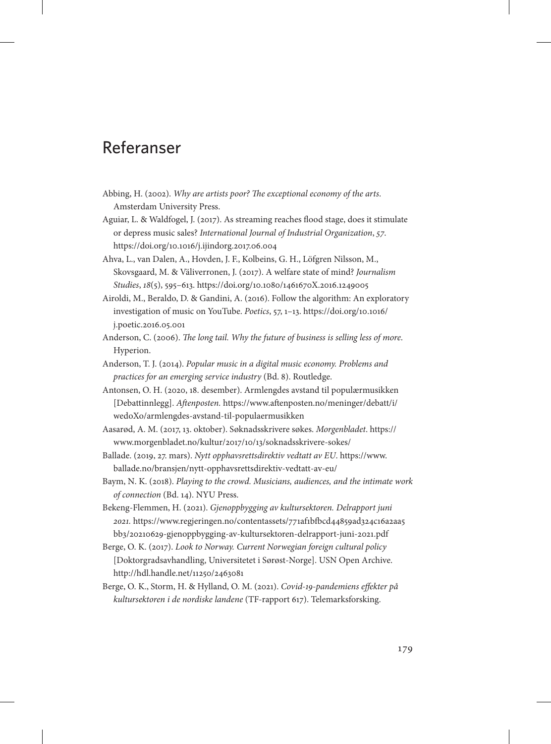## Referanser

- Abbing, H. (2002). *Why are artists poor? The exceptional economy of the arts*. Amsterdam University Press.
- Aguiar, L. & Waldfogel, J. (2017). As streaming reaches flood stage, does it stimulate or depress music sales? *International Journal of Industrial Organization*, *57*. https://doi.org/10.1016/j.ijindorg.2017.06.004
- Ahva, L., van Dalen, A., Hovden, J. F., Kolbeins, G. H., Löfgren Nilsson, M., Skovsgaard, M. & Väliverronen, J. (2017). A welfare state of mind? *Journalism Studies*, *18*(5), 595–613. https://doi.org/10.1080/1461670X.2016.1249005
- Airoldi, M., Beraldo, D. & Gandini, A. (2016). Follow the algorithm: An exploratory investigation of music on YouTube. *Poetics*, 57, 1–13. [https://doi.org/10.1016/](https://doi.org/10.1016/j.poetic.2016.05.001) [j.poetic.2016.05.001](https://doi.org/10.1016/j.poetic.2016.05.001)
- Anderson, C. (2006). *The long tail. Why the future of business is selling less of more*. Hyperion.
- Anderson, T. J. (2014). *Popular music in a digital music economy. Problems and practices for an emerging service industry* (Bd. 8). Routledge.
- Antonsen, O. H. (2020, 18. desember). Armlengdes avstand til populærmusikken [Debattinnlegg]. *Aftenposten.* [https://www.aftenposten.no/meninger/debatt/i/](https://www.aftenposten.no/meninger/debatt/i/wedoXo/armlengdes-avstand-til-populaermusikken) [wedoXo/armlengdes-avstand-til-populaermusikken](https://www.aftenposten.no/meninger/debatt/i/wedoXo/armlengdes-avstand-til-populaermusikken)
- Aasarød, A. M. (2017, 13. oktober). Søknadsskrivere søkes. *Morgenbladet*. https:// www.morgenbladet.no/kultur/2017/10/13/soknadsskrivere-sokes/
- Ballade. (2019, 27. mars). *Nytt opphavsrettsdirektiv vedtatt av EU*. [https://www.](https://www.ballade.no/bransjen/nytt-opphavsrettsdirektiv-vedtatt-av-eu/) [ballade.no/bransjen/nytt-opphavsrettsdirektiv-vedtatt-av-eu/](https://www.ballade.no/bransjen/nytt-opphavsrettsdirektiv-vedtatt-av-eu/)
- Baym, N. K. (2018). *Playing to the crowd. Musicians, audiences, and the intimate work of connection* (Bd. 14). NYU Press.
- Bekeng-Flemmen, H. (2021). *Gjenoppbygging av kultursektoren. Delrapport juni 2021.* [https://www.regjeringen.no/contentassets/771af1bfbcd44859ad324c16a2aa5](https://www.regjeringen.no/contentassets/771af1bfbcd44859ad324c16a2aa5bb3/20210629-gjenoppbygging-av-kultursektoren-delrapport-juni-2021.pdf) [bb3/20210629-gjenoppbygging-av-kultursektoren-delrapport-juni-2021.pdf](https://www.regjeringen.no/contentassets/771af1bfbcd44859ad324c16a2aa5bb3/20210629-gjenoppbygging-av-kultursektoren-delrapport-juni-2021.pdf)
- Berge, O. K. (2017). *Look to Norway. Current Norwegian foreign cultural policy* [Doktorgradsavhandling, Universitetet i Sørøst-Norge]. USN Open Archive. http://hdl.handle.net/11250/2463081
- Berge, O. K., Storm, H. & Hylland, O. M. (2021). *Covid-19-pandemiens effekter på kultursektoren i de nordiske landene* (TF-rapport 617). Telemarksforsking.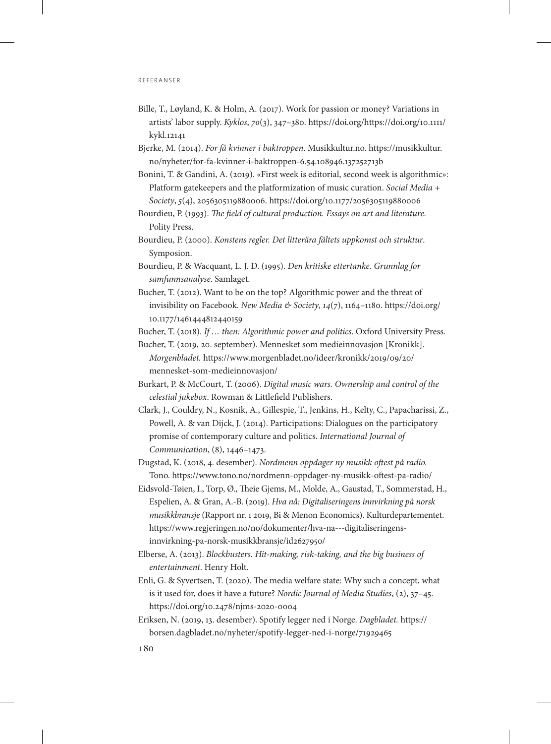## r e f e r a n s e r

- Bille, T., Løyland, K. & Holm, A. (2017). Work for passion or money? Variations in artists' labor supply. *Kyklos*, *70*(3), 347–380. [https://doi.org/https://doi.org/10.1111/](https://doi.org/10.1111/kykl.12141) [kykl.12141](https://doi.org/10.1111/kykl.12141)
- Bjerke, M. (2014). *For få kvinner i baktroppen*. Musikkultur.no. [https://musikkultur.](https://musikkultur.no/nyheter/for-fa-kvinner-i-baktroppen-6.54.108946.137252713b) [no/nyheter/for-fa-kvinner-i-baktroppen-6.54.108946.137252713b](https://musikkultur.no/nyheter/for-fa-kvinner-i-baktroppen-6.54.108946.137252713b)
- Bonini, T. & Gandini, A. (2019). «First week is editorial, second week is algorithmic»: Platform gatekeepers and the platformization of music curation. *Social Media + Society*, *5*(4), 2056305119880006. https://doi.org/10.1177/2056305119880006
- Bourdieu, P. (1993). *The field of cultural production. Essays on art and literature*. Polity Press.
- Bourdieu, P. (2000). *Konstens regler. Det litterära fältets uppkomst och struktur*. Symposion.
- Bourdieu, P. & Wacquant, L. J. D. (1995). *Den kritiske ettertanke. Grunnlag for samfunnsanalyse*. Samlaget.
- Bucher, T. (2012). Want to be on the top? Algorithmic power and the threat of invisibility on Facebook. *New Media & Society*, *14*(7), 1164–1180. [https://doi.org/](https://doi.org/10.1177/1461444812440159) [10.1177/1461444812440159](https://doi.org/10.1177/1461444812440159)

Bucher, T. (2018). *If … then: Algorithmic power and politics*. Oxford University Press.

- Bucher, T. (2019, 20. september). Mennesket som medieinnovasjon [Kronikk]. *Morgenbladet.* [https://www.morgenbladet.no/ideer/kronikk/2019/09/20/](https://www.morgenbladet.no/ideer/kronikk/2019/09/20/mennesket-som-medieinnovasjon/) [mennesket-som-medieinnovasjon/](https://www.morgenbladet.no/ideer/kronikk/2019/09/20/mennesket-som-medieinnovasjon/)
- Burkart, P. & McCourt, T. (2006). *Digital music wars. Ownership and control of the celestial jukebox*. Rowman & Littlefield Publishers.
- Clark, J., Couldry, N., Kosnik, A., Gillespie, T., Jenkins, H., Kelty, C., Papacharissi, Z., Powell, A. & van Dijck, J. (2014). Participations: Dialogues on the participatory promise of contemporary culture and politics. *International Journal of Communication*, (8), 1446–1473.
- Dugstad, K. (2018, 4. desember). *Nordmenn oppdager ny musikk oftest på radio.* Tono. https://www.tono.no/nordmenn-oppdager-ny-musikk-oftest-pa-radio/
- Eidsvold-Tøien, I., Torp, Ø., Theie Gjems, M., Molde, A., Gaustad, T., Sommerstad, H., Espelien, A. & Gran, A.-B. (2019). *Hva nå: Digitaliseringens innvirkning på norsk musikkbransje* (Rapport nr. 1 2019, Bi & Menon Economics). Kulturdepartementet. https://www.regjeringen.no/no/dokumenter/hva-na---digitaliseringensinnvirkning-pa-norsk-musikkbransje/id2627950/
- Elberse, A. (2013). *Blockbusters. Hit-making, risk-taking, and the big business of entertainment*. Henry Holt.
- Enli, G. & Syvertsen, T. (2020). The media welfare state: Why such a concept, what is it used for, does it have a future? *Nordic Journal of Media Studies*, (2), 37–45. https://doi.org/10.2478/njms-2020-0004
- Eriksen, N. (2019, 13. desember). Spotify legger ned i Norge. *Dagbladet.* https:// borsen.dagbladet.no/nyheter/spotify-legger-ned-i-norge/71929465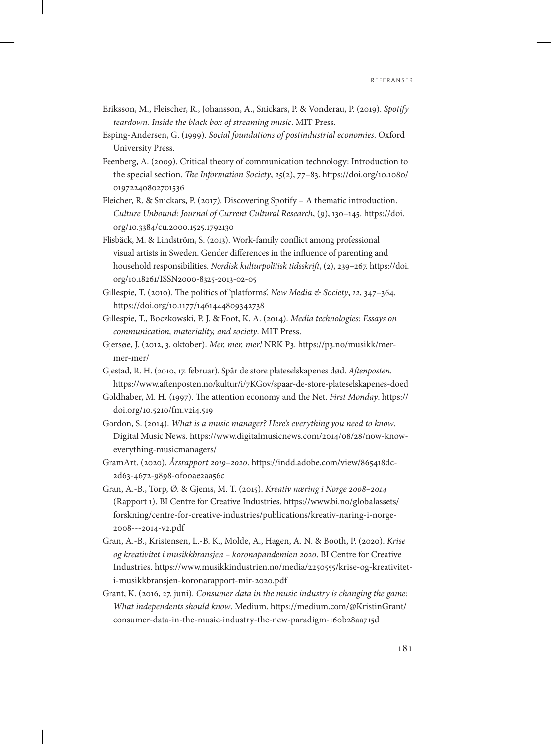- Eriksson, M., Fleischer, R., Johansson, A., Snickars, P. & Vonderau, P. (2019). *Spotify teardown. Inside the black box of streaming music*. MIT Press.
- Esping-Andersen, G. (1999). *Social foundations of postindustrial economies*. Oxford University Press.
- Feenberg, A. (2009). Critical theory of communication technology: Introduction to the special section. *The Information Society*, *25*(2), 77–83. [https://doi.org/10.1080/](https://doi.org/10.1080/01972240802701536) [01972240802701536](https://doi.org/10.1080/01972240802701536)
- Fleicher, R. & Snickars, P. (2017). Discovering Spotify A thematic introduction. *Culture Unbound: Journal of Current Cultural Research*, (9), 130–145. [https://doi.](https://doi.org/10.3384/cu.2000.1525.1792130) [org/10.3384/cu.2000.1525.1792130](https://doi.org/10.3384/cu.2000.1525.1792130)
- Flisbäck, M. & Lindström, S. (2013). Work-family conflict among professional visual artists in Sweden. Gender differences in the influence of parenting and household responsibilities. *Nordisk kulturpolitisk tidsskrift*, (2), 239–267. [https://doi.](https://doi.org/10.18261/ISSN2000-8325-2013-02-05) [org/10.18261/ISSN2000-8325-2013-02-05](https://doi.org/10.18261/ISSN2000-8325-2013-02-05)
- Gillespie, T. (2010). The politics of 'platforms'. *New Media & Society*, *12*, 347–364. https://doi.org/10.1177/1461444809342738
- Gillespie, T., Boczkowski, P. J. & Foot, K. A. (2014). *Media technologies: Essays on communication, materiality, and society*. MIT Press.
- Gjersøe, J. (2012, 3. oktober). *Mer, mer, mer!* NRK P3. https://p3.no/musikk/mermer-mer/
- Gjestad, R. H. (2010, 17. februar). Spår de store plateselskapenes død. *Aftenposten*. https://www.aftenposten.no/kultur/i/7KGov/spaar-de-store-plateselskapenes-doed
- Goldhaber, M. H. (1997). The attention economy and the Net. *First Monday*. https:// doi.org/10.5210/fm.v2i4.519
- Gordon, S. (2014). *What is a music manager? Here's everything you need to know*. Digital Music News. https://www.digitalmusicnews.com/2014/08/28/now-knoweverything-musicmanagers/
- GramArt. (2020). *Årsrapport 2019–2020*. https://indd.adobe.com/view/865418dc-2d63-4672-9898-0f00ae2aa56c
- Gran, A.-B., Torp, Ø. & Gjems, M. T. (2015). *Kreativ næring i Norge 2008–2014* (Rapport 1). BI Centre for Creative Industries. [https://www.bi.no/globalassets/](https://www.bi.no/globalassets/forskning/centre-for-creative-industries/publications/kreativ-naring-i-norge-2008---2014-v2.pdf) [forskning/centre-for-creative-industries/publications/kreativ-naring-i-norge-](https://www.bi.no/globalassets/forskning/centre-for-creative-industries/publications/kreativ-naring-i-norge-2008---2014-v2.pdf)[2008---2014-v2.pdf](https://www.bi.no/globalassets/forskning/centre-for-creative-industries/publications/kreativ-naring-i-norge-2008---2014-v2.pdf)
- Gran, A.-B., Kristensen, L.-B. K., Molde, A., Hagen, A. N. & Booth, P. (2020). *Krise og kreativitet i musikkbransjen – koronapandemien 2020*. BI Centre for Creative Industries. https://www.musikkindustrien.no/media/2250555/krise-og-kreativiteti-musikkbransjen-koronarapport-mir-2020.pdf
- Grant, K. (2016, 27. juni). *Consumer data in the music industry is changing the game: What independents should know*. Medium. [https://medium.com/@KristinGrant/](https://medium.com/@KristinGrant/consumer-data-in-the-music-industry-the-new-paradigm-160b28aa715d) consumer-data-in-the-music-industry-the-new-paradigm-160b28aa715d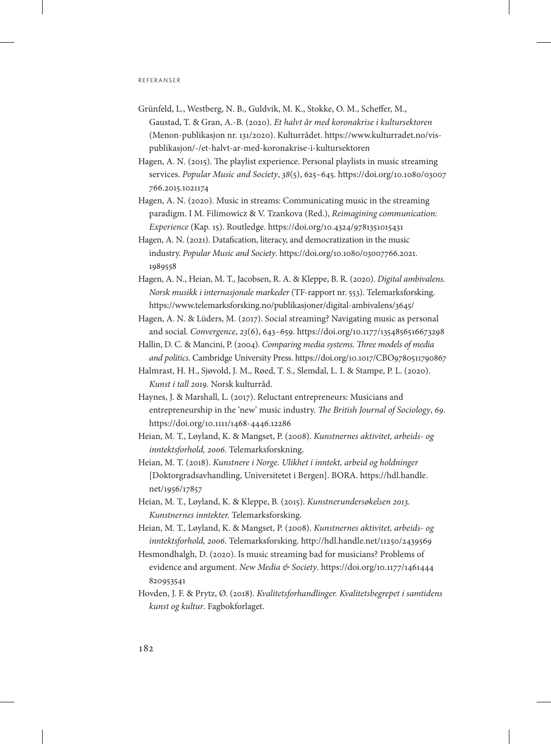- Grünfeld, L., Westberg, N. B., Guldvik, M. K., Stokke, O. M., Scheffer, M., Gaustad, T. & Gran, A.-B. (2020). *Et halvt år med koronakrise i kultursektoren* (Menon-publikasjon nr. 131/2020). Kulturrådet. https://www.kulturradet.no/vispublikasjon/-/et-halvt-ar-med-koronakrise-i-kultursektoren
- Hagen, A. N. (2015). The playlist experience. Personal playlists in music streaming services. *Popular Music and Society*, *38*(5), 625–645. [https://doi.org/10.1080/03007](https://doi.org/10.1080/03007766.2015.1021174) [766.2015.1021174](https://doi.org/10.1080/03007766.2015.1021174)
- Hagen, A. N. (2020). Music in streams: Communicating music in the streaming paradigm. I M. Filimowicz & V. Tzankova (Red.), *Reimagining communication: Experience* (Kap. 15). Routledge. https://doi.org/10.4324/9781351015431
- Hagen, A. N. (2021). Datafication, literacy, and democratization in the music industry. *Popular Music and Society*. [https://doi.org/10.1080/03007766.2021.](https://doi.org/10.1080/03007766.2021.1989558) [1989558](https://doi.org/10.1080/03007766.2021.1989558)
- Hagen, A. N., Heian, M. T., Jacobsen, R. A. & Kleppe, B. R. (2020). *Digital ambivalens. Norsk musikk i internasjonale markeder* (TF-rapport nr. 553). Telemarksforsking. https://www.telemarksforsking.no/publikasjoner/digital-ambivalens/3645/
- Hagen, A. N. & Lüders, M. (2017). Social streaming? Navigating music as personal and social. *Convergence*, *23*(6), 643–659. https://doi.org/10.1177/1354856516673298
- Hallin, D. C. & Mancini, P. (2004). *Comparing media systems. Three models of media and politics*. Cambridge University Press. https://doi.org/10.1017/CBO9780511790867
- Halmrast, H. H., Sjøvold, J. M., Røed, T. S., Slemdal, L. I. & Stampe, P. L. (2020). *Kunst i tall 2019.* Norsk kulturråd.
- Haynes, J. & Marshall, L. (2017). Reluctant entrepreneurs: Musicians and entrepreneurship in the 'new' music industry. *The British Journal of Sociology*, *69*. https://doi.org/10.1111/1468-4446.12286
- Heian, M. T., Løyland, K. & Mangset, P. (2008). *Kunstnernes aktivitet, arbeids- og inntektsforhold, 2006*. Telemarksforskning.
- Heian, M. T. (2018). *Kunstnere i Norge. Ulikhet i inntekt, arbeid og holdninger* [Doktorgradsavhandling, Universitetet i Bergen]. BORA. [https://hdl.handle.](https://hdl.handle.net/1956/17857) [net/1956/17857](https://hdl.handle.net/1956/17857)
- Heian, M. T., Løyland, K. & Kleppe, B. (2015). *Kunstnerundersøkelsen 2013. Kunstnernes inntekter.* Telemarksforsking.
- Heian, M. T., Løyland, K. & Mangset, P. (2008). *Kunstnernes aktivitet, arbeids- og inntektsforhold, 2006*. Telemarksforsking. http://hdl.handle.net/11250/2439569
- Hesmondhalgh, D. (2020). Is music streaming bad for musicians? Problems of evidence and argument. *New Media & Society*. [https://doi.org/10.1177/1461444](https://doi.org/10.1177/1461444820953541) [820953541](https://doi.org/10.1177/1461444820953541)
- Hovden, J. F. & Prytz, Ø. (2018). *Kvalitetsforhandlinger. Kvalitetsbegrepet i samtidens kunst og kultur*. Fagbokforlaget.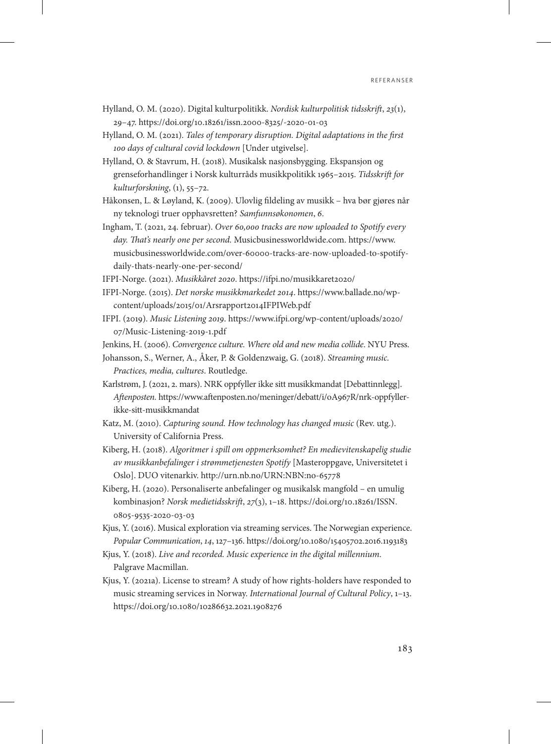- Hylland, O. M. (2020). Digital kulturpolitikk. *Nordisk kulturpolitisk tidsskrift*, *23*(1), 29–47. https://doi.org/10.18261/issn.2000-8325/-2020-01-03
- Hylland, O. M. (2021). *Tales of temporary disruption. Digital adaptations in the first 100 days of cultural covid lockdown* [Under utgivelse].
- Hylland, O. & Stavrum, H. (2018). Musikalsk nasjonsbygging. Ekspansjon og grenseforhandlinger i Norsk kulturråds musikkpolitikk 1965–2015. *Tidsskrift for kulturforskning*, (1), 55–72.
- Håkonsen, L. & Løyland, K. (2009). Ulovlig fildeling av musikk hva bør gjøres når ny teknologi truer opphavsretten? *Samfunnsøkonomen*, *6*.
- Ingham, T. (2021, 24. februar). *Over 60,000 tracks are now uploaded to Spotify every day. That's nearly one per second.* Musicbusinessworldwide.com. [https://www.](https://www.musicbusinessworldwide.com/over-60000-tracks-are-now-uploaded-to-spotifydaily-thats-nearly-one-per-second/) [musicbusinessworldwide.com/over-60000-tracks-are-now-uploaded-to-spotify](https://www.musicbusinessworldwide.com/over-60000-tracks-are-now-uploaded-to-spotifydaily-thats-nearly-one-per-second/)[daily-thats-nearly-one-per-second/](https://www.musicbusinessworldwide.com/over-60000-tracks-are-now-uploaded-to-spotifydaily-thats-nearly-one-per-second/)
- IFPI-Norge. (2021). *Musikkåret 2020*. https://ifpi.no/musikkaret2020/
- IFPI-Norge. (2015). *Det norske musikkmarkedet 2014*. https://www.ballade.no/wpcontent/uploads/2015/01/Arsrapport2014IFPIWeb.pdf
- IFPI. (2019). *Music Listening 2019*. [https://www.ifpi.org/wp-content/uploads/2020/](https://www.ifpi.org/wp-content/uploads/2020/07/Music-Listening-2019-1.pdf) [07/Music-Listening-2019-1.pdf](https://www.ifpi.org/wp-content/uploads/2020/07/Music-Listening-2019-1.pdf)
- Jenkins, H. (2006). *Convergence culture. Where old and new media collide*. NYU Press.
- Johansson, S., Werner, A., Åker, P. & Goldenzwaig, G. (2018). *Streaming music. Practices, media, cultures*. Routledge.
- Karlstrøm, J. (2021, 2. mars). NRK oppfyller ikke sitt musikkmandat [Debattinnlegg]. *Aftenposten.* https://www.aftenposten.no/meninger/debatt/i/oA967R/nrk-oppfyllerikke-sitt-musikkmandat
- Katz, M. (2010). *Capturing sound. How technology has changed music* (Rev. utg.). University of California Press.
- Kiberg, H. (2018). *Algoritmer i spill om oppmerksomhet? En medievitenskapelig studie av musikkanbefalinger i strømmetjenesten Spotify* [Masteroppgave, Universitetet i Oslo]. DUO vitenarkiv. http://urn.nb.no/URN:NBN:no-65778
- Kiberg, H. (2020). Personaliserte anbefalinger og musikalsk mangfold en umulig kombinasjon? *Norsk medietidsskrift*, *27*(3), 1–18. [https://doi.org/10.18261/ISSN.](https://doi.org/10.18261/ISSN.0805-9535-2020-03-03) [0805-9535-2020-03-03](https://doi.org/10.18261/ISSN.0805-9535-2020-03-03)
- Kjus, Y. (2016). Musical exploration via streaming services. The Norwegian experience. *Popular Communication*, *14*, 127–136. https://doi.org/10.1080/15405702.2016.1193183
- Kjus, Y. (2018). *Live and recorded. Music experience in the digital millennium*. Palgrave Macmillan.
- Kjus, Y. (2021a). License to stream? A study of how rights-holders have responded to music streaming services in Norway. *International Journal of Cultural Policy*, 1–13. https://doi.org/10.1080/10286632.2021.1908276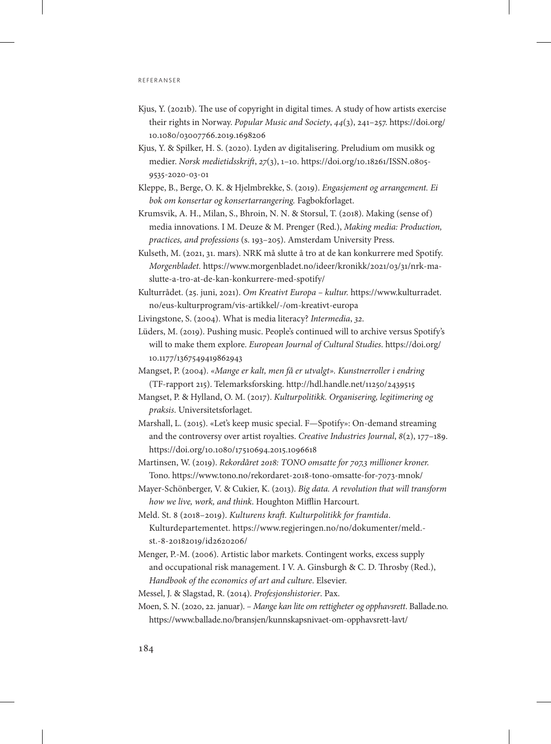- Kjus, Y. (2021b). The use of copyright in digital times. A study of how artists exercise their rights in Norway. *Popular Music and Society*, *44*(3), 241–257. [https://doi.org/](https://doi.org/10.1080/03007766.2019.1698206) [10.1080/03007766.2019.1698206](https://doi.org/10.1080/03007766.2019.1698206)
- Kjus, Y. & Spilker, H. S. (2020). Lyden av digitalisering. Preludium om musikk og medier. *Norsk medietidsskrift*, *27*(3), 1–10. https://doi.org/10.18261/ISSN.0805- 9535-2020-03-01
- Kleppe, B., Berge, O. K. & Hjelmbrekke, S. (2019). *Engasjement og arrangement. Ei bok om konsertar og konsertarrangering.* Fagbokforlaget.
- Krumsvik, A. H., Milan, S., Bhroin, N. N. & Storsul, T. (2018). Making (sense of) media innovations. I M. Deuze & M. Prenger (Red.), *Making media: Production, practices, and professions* (s. 193–205). Amsterdam University Press.
- Kulseth, M. (2021, 31. mars). NRK må slutte å tro at de kan konkurrere med Spotify. *Morgenbladet.* https://www.morgenbladet.no/ideer/kronikk/2021/03/31/nrk-maslutte-a-tro-at-de-kan-konkurrere-med-spotify/
- Kulturrådet. (25. juni, 2021). *Om Kreativt Europa kultur.* [https://www.kulturradet.](https://www.kulturradet.no/eus-kulturprogram/vis-artikkel/-/om-kreativt-europa) [no/eus-kulturprogram/vis-artikkel/-/om-kreativt-europa](https://www.kulturradet.no/eus-kulturprogram/vis-artikkel/-/om-kreativt-europa)
- Livingstone, S. (2004). What is media literacy? *Intermedia*, *32*.
- Lüders, M. (2019). Pushing music. People's continued will to archive versus Spotify's will to make them explore. *European Journal of Cultural Studies*. [https://doi.org/](https://doi.org/10.1177/1367549419862943) [10.1177/1367549419862943](https://doi.org/10.1177/1367549419862943)
- Mangset, P. (2004). *«Mange er kalt, men få er utvalgt». Kunstnerroller i endring*  (TF-rapport 215). Telemarksforsking. http://hdl.handle.net/11250/2439515
- Mangset, P. & Hylland, O. M. (2017). *Kulturpolitikk. Organisering, legitimering og praksis*. Universitetsforlaget.
- Marshall, L. (2015). «Let's keep music special. F—Spotify»: On-demand streaming and the controversy over artist royalties. *Creative Industries Journal*, *8*(2), 177–189. https://doi.org/10.1080/17510694.2015.1096618
- Martinsen, W. (2019). *Rekordåret 2018: TONO omsatte for 707,3 millioner kroner.*  Tono. https://www.tono.no/rekordaret-2018-tono-omsatte-for-7073-mnok/
- Mayer-Schönberger, V. & Cukier, K. (2013). *Big data. A revolution that will transform how we live, work, and think*. Houghton Mifflin Harcourt.
- Meld. St. 8 (2018–2019). *Kulturens kraft. Kulturpolitikk for framtida*. Kulturdepartementet. https://www.regjeringen.no/no/dokumenter/meld. st.-8-20182019/id2620206/
- Menger, P.-M. (2006). Artistic labor markets. Contingent works, excess supply and occupational risk management. I V. A. Ginsburgh & C. D. Throsby (Red.), *Handbook of the economics of art and culture*. Elsevier.
- Messel, J. & Slagstad, R. (2014). *Profesjonshistorier*. Pax.
- Moen, S. N. (2020, 22. januar).  *Mange kan lite om rettigheter og opphavsrett*. Ballade.no. https://www.ballade.no/bransjen/kunnskapsnivaet-om-opphavsrett-lavt/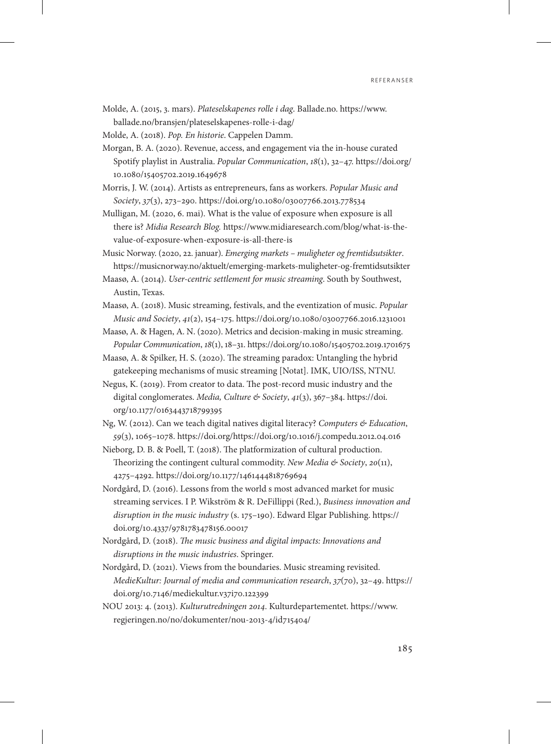Molde, A. (2015, 3. mars). *Plateselskapenes rolle i dag*. Ballade.no. [https://www.](https://www.ballade.no/bransjen/plateselskapenes-rolle-i-dag/) [ballade.no/bransjen/plateselskapenes-rolle-i-dag/](https://www.ballade.no/bransjen/plateselskapenes-rolle-i-dag/)

Molde, A. (2018). *Pop. En historie*. Cappelen Damm.

- Morgan, B. A. (2020). Revenue, access, and engagement via the in-house curated Spotify playlist in Australia. *Popular Communication*, *18*(1), 32–47. [https://doi.org/](https://doi.org/10.1080/15405702.2019.1649678) [10.1080/15405702.2019.1649678](https://doi.org/10.1080/15405702.2019.1649678)
- Morris, J. W. (2014). Artists as entrepreneurs, fans as workers. *Popular Music and Society*, *37*(3), 273–290. https://doi.org/10.1080/03007766.2013.778534
- Mulligan, M. (2020, 6. mai). What is the value of exposure when exposure is all there is? *Midia Research Blog.* https://www.midiaresearch.com/blog/what-is-thevalue-of-exposure-when-exposure-is-all-there-is
- Music Norway. (2020, 22. januar). *Emerging markets muligheter og fremtidsutsikter*. https://musicnorway.no/aktuelt/emerging-markets-muligheter-og-fremtidsutsikter
- Maasø, A. (2014). *User-centric settlement for music streaming*. South by Southwest, Austin, Texas.
- Maasø, A. (2018). Music streaming, festivals, and the eventization of music. *Popular Music and Society*, *41*(2), 154–175. https://doi.org/10.1080/03007766.2016.1231001
- Maasø, A. & Hagen, A. N. (2020). Metrics and decision-making in music streaming. *Popular Communication*, *18*(1), 18–31. https://doi.org/10.1080/15405702.2019.1701675
- Maasø, A. & Spilker, H. S. (2020). The streaming paradox: Untangling the hybrid gatekeeping mechanisms of music streaming [Notat]. IMK, UIO/ISS, NTNU.
- Negus, K. (2019). From creator to data. The post-record music industry and the digital conglomerates. *Media, Culture & Society*, *41*(3), 367–384. [https://doi.](https://doi.org/10.1177/0163443718799395) [org/10.1177/0163443718799395](https://doi.org/10.1177/0163443718799395)
- Ng, W. (2012). Can we teach digital natives digital literacy? *Computers & Education*, *59*(3), 1065–1078. https://doi.org/https://doi.org/10.1016/j.compedu.2012.04.016
- Nieborg, D. B. & Poell, T. (2018). The platformization of cultural production. Theorizing the contingent cultural commodity. *New Media & Society*, *20*(11), 4275–4292. https://doi.org/10.1177/1461444818769694
- Nordgård, D. (2016). Lessons from the world s most advanced market for music streaming services. I P. Wikström & R. DeFillippi (Red.), *Business innovation and disruption in the music industry* (s. 175–190). Edward Elgar Publishing. https:// doi.org/10.4337/9781783478156.00017
- Nordgård, D. (2018). *The music business and digital impacts: Innovations and disruptions in the music industries*. Springer.
- Nordgård, D. (2021). Views from the boundaries. Music streaming revisited. *MedieKultur: Journal of media and communication research*, *37*(70), 32–49. https:// doi.org/10.7146/mediekultur.v37i70.122399
- NOU 2013: 4. (2013). *Kulturutredningen 2014*. Kulturdepartementet. [https://www.](https://www.regjeringen.no/no/dokumenter/nou-2013-4/id715404/) [regjeringen.no/no/dokumenter/nou-2013-4/id715404/](https://www.regjeringen.no/no/dokumenter/nou-2013-4/id715404/)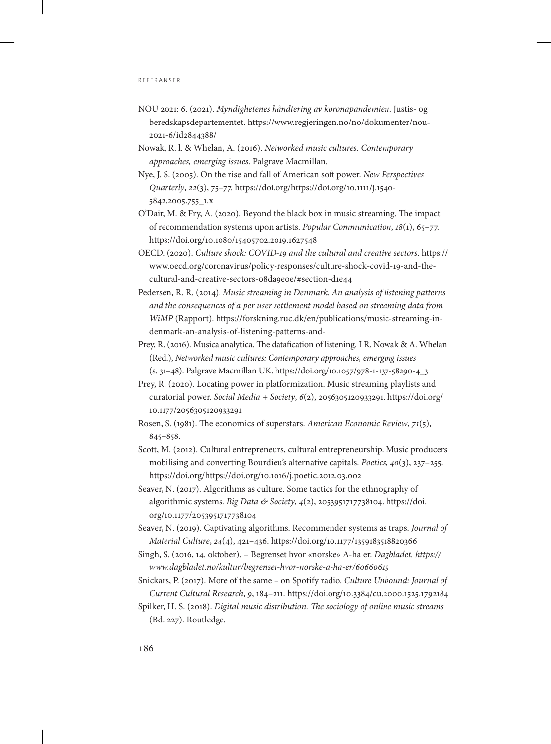- NOU 2021: 6. (2021). *Myndighetenes håndtering av koronapandemien*. Justis- og beredskapsdepartementet. https://www.regjeringen.no/no/dokumenter/nou-2021-6/id2844388/
- Nowak, R. l. & Whelan, A. (2016). *Networked music cultures. Contemporary approaches, emerging issues*. Palgrave Macmillan.
- Nye, J. S. (2005). On the rise and fall of American soft power. *New Perspectives Quarterly*, *22*(3), 75–77. https://doi.org/https://doi.org/10.1111/j.1540- 5842.2005.755\_1.x
- O'Dair, M. & Fry, A. (2020). Beyond the black box in music streaming. The impact of recommendation systems upon artists. *Popular Communication*, *18*(1), 65–77. https://doi.org/10.1080/15405702.2019.1627548
- OECD. (2020). *Culture shock: COVID-19 and the cultural and creative sectors*. https:// www.oecd.org/coronavirus/policy-responses/culture-shock-covid-19-and-thecultural-and-creative-sectors-08da9e0e/#section-d1e44
- Pedersen, R. R. (2014). *Music streaming in Denmark. An analysis of listening patterns and the consequences of a per user settlement model based on streaming data from WiMP* (Rapport). [https://forskning.ruc.dk/en/publications/music-streaming-in](https://forskning.ruc.dk/en/publications/music-streaming-indenmark-)[denmark-an-analysis-of-listening-patterns-and-](https://forskning.ruc.dk/en/publications/music-streaming-indenmark-)
- Prey, R. (2016). Musica analytica. The datafication of listening. I R. Nowak & A. Whelan (Red.), *Networked music cultures: Contemporary approaches, emerging issues* (s. 31–48). Palgrave Macmillan UK. https://doi.org/10.1057/978-1-137-58290-4\_3
- Prey, R. (2020). Locating power in platformization. Music streaming playlists and curatorial power. *Social Media + Society*, *6*(2), 2056305120933291. [https://doi.org/](https://doi.org/10.1177/2056305120933291) [10.1177/2056305120933291](https://doi.org/10.1177/2056305120933291)
- Rosen, S. (1981). The economics of superstars. *American Economic Review*, *71*(5), 845–858.
- Scott, M. (2012). Cultural entrepreneurs, cultural entrepreneurship. Music producers mobilising and converting Bourdieu's alternative capitals. *Poetics*, *40*(3), 237–255. https://doi.org/https://doi.org/10.1016/j.poetic.2012.03.002
- Seaver, N. (2017). Algorithms as culture. Some tactics for the ethnography of algorithmic systems. *Big Data & Society*, *4*(2), 2053951717738104. [https://doi.](https://doi.org/10.1177/2053951717738104) [org/10.1177/2053951717738104](https://doi.org/10.1177/2053951717738104)
- Seaver, N. (2019). Captivating algorithms. Recommender systems as traps. *Journal of Material Culture*, *24*(4), 421–436. https://doi.org/10.1177/1359183518820366
- Singh, S. (2016, 14. oktober). Begrenset hvor «norske» A-ha er. *Dagbladet. https:// www.dagbladet.no/kultur/begrenset-hvor-norske-a-ha-er/60660615*
- Snickars, P. (2017). More of the same on Spotify radio. *Culture Unbound: Journal of Current Cultural Research*, *9*, 184–211. https://doi.org/10.3384/cu.2000.1525.1792184
- Spilker, H. S. (2018). *Digital music distribution. The sociology of online music streams* (Bd. 227). Routledge.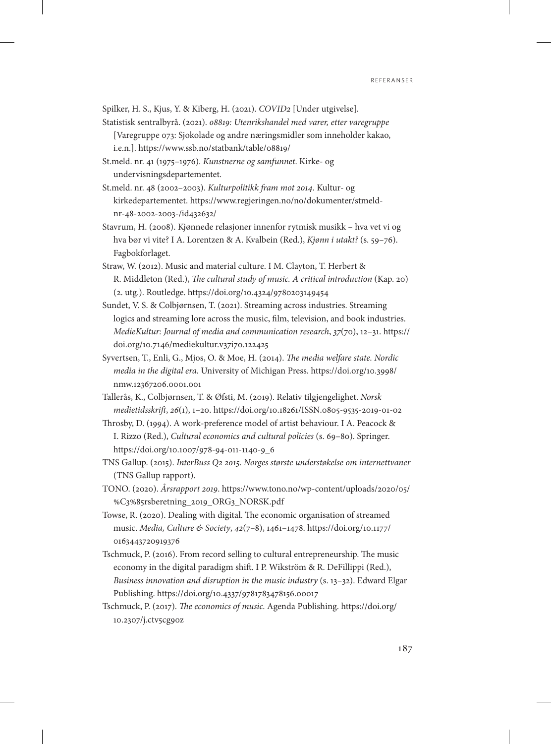Spilker, H. S., Kjus, Y. & Kiberg, H. (2021). *COVID2* [Under utgivelse].

- Statistisk sentralbyrå. (2021). *08819: Utenrikshandel med varer, etter varegruppe*  [Varegruppe 073: Sjokolade og andre næringsmidler som inneholder kakao, i.e.n.]. https://www.ssb.no/statbank/table/08819/
- St.meld. nr. 41 (1975–1976). *Kunstnerne og samfunnet*. Kirke- og undervisningsdepartementet.
- St.meld. nr. 48 (2002–2003). *Kulturpolitikk fram mot 2014*. Kultur- og kirkedepartementet. https://www.regjeringen.no/no/dokumenter/stmeldnr-48-2002-2003-/id432632/
- Stavrum, H. (2008). Kjønnede relasjoner innenfor rytmisk musikk hva vet vi og hva bør vi vite? I A. Lorentzen & A. Kvalbein (Red.), *Kjønn i utakt?* (s. 59–76). Fagbokforlaget.
- Straw, W. (2012). Music and material culture. I M. Clayton, T. Herbert & R. Middleton (Red.), *The cultural study of music. A critical introduction* (Kap. 20) (2. utg.). Routledge. https://doi.org/10.4324/9780203149454
- Sundet, V. S. & Colbjørnsen, T. (2021). Streaming across industries. Streaming logics and streaming lore across the music, film, television, and book industries. *MedieKultur: Journal of media and communication research*, *37*(70), 12–31. https:// doi.org/10.7146/mediekultur.v37i70.122425
- Syvertsen, T., Enli, G., Mjos, O. & Moe, H. (2014). *The media welfare state. Nordic media in the digital era*. University of Michigan Press. [https://doi.org/10.3998/](https://doi.org/10.3998/nmw.12367206.0001.001) [nmw.12367206.0001.001](https://doi.org/10.3998/nmw.12367206.0001.001)
- Tallerås, K., Colbjørnsen, T. & Øfsti, M. (2019). Relativ tilgjengelighet. *Norsk medietidsskrift*, *26*(1), 1–20. https://doi.org/10.18261/ISSN.0805-9535-2019-01-02
- Throsby, D. (1994). A work-preference model of artist behaviour. I A. Peacock & I. Rizzo (Red.), *Cultural economics and cultural policies* (s. 69–80). Springer. https://doi.org/10.1007/978-94-011-1140-9\_6
- TNS Gallup. (2015). *InterBuss Q2 2015. Norges største understøkelse om internettvaner* (TNS Gallup rapport).
- TONO. (2020). *Årsrapport 2019*. [https://www.tono.no/wp-content/uploads/2020/05/](https://www.tono.no/wp-content/uploads/2020/05/%C3%85rsberetning_2019_ORG3_NORSK.pdf) [%C3%85rsberetning\\_2019\\_ORG3\\_NORSK.pdf](https://www.tono.no/wp-content/uploads/2020/05/%C3%85rsberetning_2019_ORG3_NORSK.pdf)
- Towse, R. (2020). Dealing with digital. The economic organisation of streamed music. *Media, Culture & Society*, *42*(7–8), 1461–1478. [https://doi.org/10.1177/](https://doi.org/10.1177/0163443720919376) [0163443720919376](https://doi.org/10.1177/0163443720919376)
- Tschmuck, P. (2016). From record selling to cultural entrepreneurship. The music economy in the digital paradigm shift. I P. Wikström & R. DeFillippi (Red.), *Business innovation and disruption in the music industry* (s. 13–32). Edward Elgar Publishing. https://doi.org/10.4337/9781783478156.00017
- Tschmuck, P. (2017). *The economics of music*. Agenda Publishing. [https://doi.org/](https://doi.org/10.2307/j.ctv5cg90z) [10.2307/j.ctv5cg90z](https://doi.org/10.2307/j.ctv5cg90z)